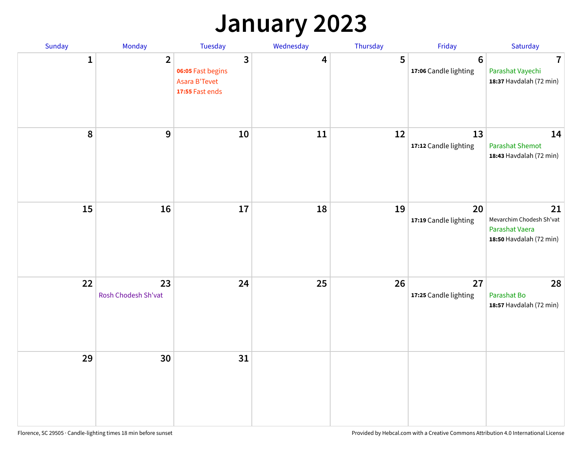## **January 2023**

| Sunday       | Monday                    | Tuesday                                                    | Wednesday | Thursday | Friday                                   | Saturday                                                                    |
|--------------|---------------------------|------------------------------------------------------------|-----------|----------|------------------------------------------|-----------------------------------------------------------------------------|
| $\mathbf{1}$ | $\overline{2}$            | 3<br>06:05 Fast begins<br>Asara B'Tevet<br>17:55 Fast ends | 4         | 5        | $6\phantom{1}6$<br>17:06 Candle lighting | $\overline{7}$<br>Parashat Vayechi<br>18:37 Havdalah (72 min)               |
| 8            | 9                         | 10                                                         | 11        | 12       | 13<br>17:12 Candle lighting              | 14<br><b>Parashat Shemot</b><br>18:43 Havdalah (72 min)                     |
| 15           | 16                        | 17                                                         | 18        | 19       | 20<br>17:19 Candle lighting              | 21<br>Mevarchim Chodesh Sh'vat<br>Parashat Vaera<br>18:50 Havdalah (72 min) |
| 22           | 23<br>Rosh Chodesh Sh'vat | 24                                                         | 25        | 26       | 27<br>17:25 Candle lighting              | 28<br>Parashat Bo<br>18:57 Havdalah (72 min)                                |
| 29           | 30                        | 31                                                         |           |          |                                          |                                                                             |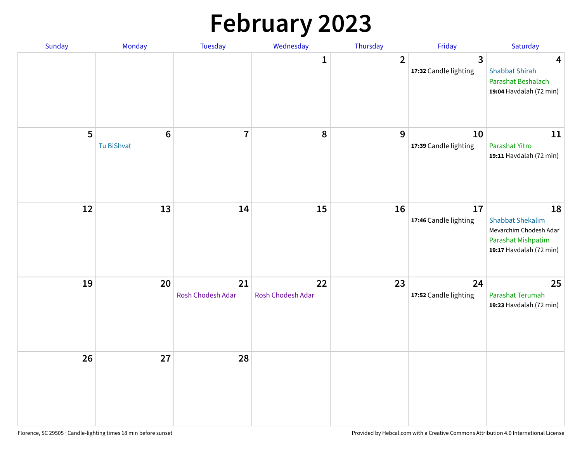# **February 2023**

| Sunday | Monday                       | Tuesday                 | Wednesday               | Thursday       | Friday                                  | Saturday                                                                                                 |
|--------|------------------------------|-------------------------|-------------------------|----------------|-----------------------------------------|----------------------------------------------------------------------------------------------------------|
|        |                              |                         | $\mathbf{1}$            | $\overline{2}$ | $\overline{3}$<br>17:32 Candle lighting | $\overline{\mathbf{4}}$<br><b>Shabbat Shirah</b><br>Parashat Beshalach<br>19:04 Havdalah (72 min)        |
| 5      | $6\phantom{1}$<br>Tu BiShvat | $\overline{7}$          | 8                       | 9              | 10<br>17:39 Candle lighting             | 11<br>Parashat Yitro<br>19:11 Havdalah (72 min)                                                          |
| 12     | 13                           | 14                      | 15                      | 16             | 17<br>17:46 Candle lighting             | 18<br><b>Shabbat Shekalim</b><br>Mevarchim Chodesh Adar<br>Parashat Mishpatim<br>19:17 Havdalah (72 min) |
| 19     | 20                           | 21<br>Rosh Chodesh Adar | 22<br>Rosh Chodesh Adar | 23             | 24<br>17:52 Candle lighting             | 25<br>Parashat Terumah<br>19:23 Havdalah (72 min)                                                        |
| 26     | 27                           | 28                      |                         |                |                                         |                                                                                                          |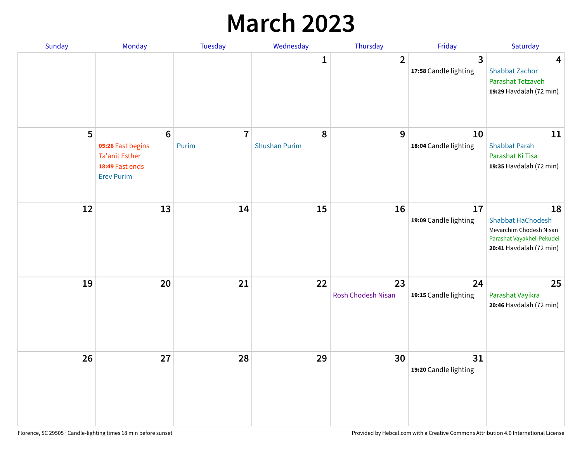## **March 2023**

| Sunday | Monday                                                                                                | Tuesday                 | Wednesday                 | Thursday                 | Friday                      | Saturday                                                                                                          |
|--------|-------------------------------------------------------------------------------------------------------|-------------------------|---------------------------|--------------------------|-----------------------------|-------------------------------------------------------------------------------------------------------------------|
|        |                                                                                                       |                         | 1                         | $\overline{2}$           | 3<br>17:58 Candle lighting  | $\overline{\mathbf{4}}$<br><b>Shabbat Zachor</b><br>Parashat Tetzaveh<br>19:29 Havdalah (72 min)                  |
| 5      | $6\phantom{1}6$<br>05:28 Fast begins<br><b>Ta'anit Esther</b><br>18:49 Fast ends<br><b>Erev Purim</b> | $\overline{7}$<br>Purim | 8<br><b>Shushan Purim</b> | 9                        | 10<br>18:04 Candle lighting | 11<br><b>Shabbat Parah</b><br>Parashat Ki Tisa<br>19:35 Havdalah (72 min)                                         |
| 12     | 13                                                                                                    | 14                      | 15                        | 16                       | 17<br>19:09 Candle lighting | 18<br><b>Shabbat HaChodesh</b><br>Mevarchim Chodesh Nisan<br>Parashat Vayakhel-Pekudei<br>20:41 Havdalah (72 min) |
| 19     | 20                                                                                                    | 21                      | 22                        | 23<br>Rosh Chodesh Nisan | 24<br>19:15 Candle lighting | 25<br>Parashat Vayikra<br>20:46 Havdalah (72 min)                                                                 |
| 26     | 27                                                                                                    | 28                      | 29                        | 30                       | 31<br>19:20 Candle lighting |                                                                                                                   |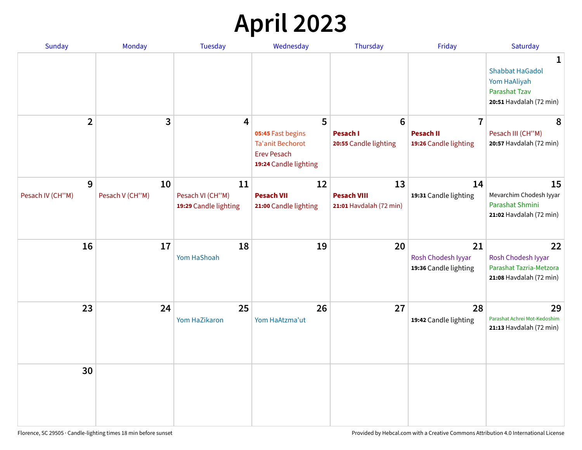# **April 2023**

| Sunday           | <b>Monday</b>   | <b>Tuesday</b>                            | Wednesday                                                                                   | Thursday                                      | Friday                                            | Saturday                                                                                       |
|------------------|-----------------|-------------------------------------------|---------------------------------------------------------------------------------------------|-----------------------------------------------|---------------------------------------------------|------------------------------------------------------------------------------------------------|
|                  |                 |                                           |                                                                                             |                                               |                                                   | 1<br><b>Shabbat HaGadol</b><br>Yom HaAliyah<br><b>Parashat Tzav</b><br>20:51 Havdalah (72 min) |
| $\overline{2}$   | 3               | 4                                         | 5                                                                                           | $6\phantom{1}6$                               | $\overline{7}$                                    | 8                                                                                              |
|                  |                 |                                           | 05:45 Fast begins<br><b>Ta'anit Bechorot</b><br><b>Erev Pesach</b><br>19:24 Candle lighting | <b>Pesach I</b><br>20:55 Candle lighting      | <b>Pesach II</b><br>19:26 Candle lighting         | Pesach III (CH"M)<br>20:57 Havdalah (72 min)                                                   |
| 9                | 10              | 11                                        | 12                                                                                          | 13                                            | 14                                                | 15                                                                                             |
| Pesach IV (CH"M) | Pesach V (CH"M) | Pesach VI (CH"M)<br>19:29 Candle lighting | <b>Pesach VII</b><br>21:00 Candle lighting                                                  | <b>Pesach VIII</b><br>21:01 Havdalah (72 min) | 19:31 Candle lighting                             | Mevarchim Chodesh Iyyar<br>Parashat Shmini<br>21:02 Havdalah (72 min)                          |
| 16               | 17              | 18<br>Yom HaShoah                         | 19                                                                                          | 20                                            | 21<br>Rosh Chodesh Iyyar<br>19:36 Candle lighting | 22<br>Rosh Chodesh Iyyar<br>Parashat Tazria-Metzora<br>21:08 Havdalah (72 min)                 |
| 23               | 24              | 25<br>Yom HaZikaron                       | 26<br>Yom HaAtzma'ut                                                                        | 27                                            | 28<br>19:42 Candle lighting                       | 29<br>Parashat Achrei Mot-Kedoshim<br>21:13 Havdalah (72 min)                                  |
| 30               |                 |                                           |                                                                                             |                                               |                                                   |                                                                                                |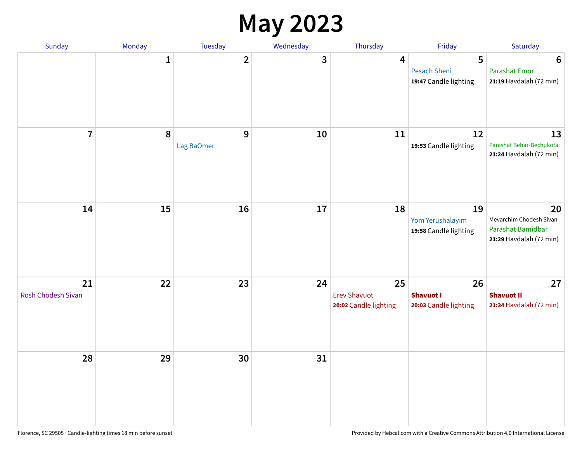#### **May 2023**

| Sunday                   | Monday      | Tuesday         | Wednesday | Thursday                                           | Friday                                          | Saturday                                                                      |
|--------------------------|-------------|-----------------|-----------|----------------------------------------------------|-------------------------------------------------|-------------------------------------------------------------------------------|
|                          | $\mathbf 1$ | $\mathbf{2}$    | 3         | $\overline{\mathbf{4}}$                            | 5<br>Pesach Sheni<br>19:47 Candle lighting      | $6\phantom{1}6$<br><b>Parashat Emor</b><br>21:19 Havdalah (72 min)            |
| $\overline{7}$           | 8           | 9<br>Lag BaOmer | 10        | 11                                                 | 12<br>19:53 Candle lighting                     | 13<br>Parashat Behar-Bechukotai<br>21:24 Havdalah (72 min)                    |
| 14                       | 15          | 16              | 17        | 18                                                 | 19<br>Yom Yerushalayim<br>19:58 Candle lighting | 20<br>Mevarchim Chodesh Sivan<br>Parashat Bamidbar<br>21:29 Havdalah (72 min) |
| 21<br>Rosh Chodesh Sivan | 22          | 23              | 24        | 25<br><b>Erev Shavuot</b><br>20:02 Candle lighting | 26<br><b>Shavuot I</b><br>20:03 Candle lighting | 27<br><b>Shavuot II</b><br>21:34 Havdalah (72 min)                            |
| 28                       | 29          | 30              | 31        |                                                    |                                                 |                                                                               |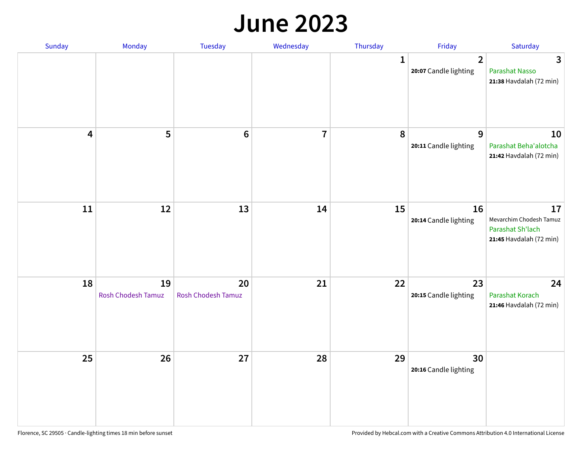#### **June 2023**

| Sunday                  | Monday                   | Tuesday                         | Wednesday      | Thursday | Friday                                  | Saturday                                                                     |
|-------------------------|--------------------------|---------------------------------|----------------|----------|-----------------------------------------|------------------------------------------------------------------------------|
|                         |                          |                                 |                | 1        | $\overline{2}$<br>20:07 Candle lighting | 3<br><b>Parashat Nasso</b><br>21:38 Havdalah (72 min)                        |
| $\overline{\mathbf{4}}$ | 5                        | $6\phantom{1}6$                 | $\overline{7}$ | 8        | 9<br>20:11 Candle lighting              | 10<br>Parashat Beha'alotcha<br>21:42 Havdalah (72 min)                       |
| ${\bf 11}$              | 12                       | 13                              | 14             | 15       | 16<br>20:14 Candle lighting             | 17<br>Mevarchim Chodesh Tamuz<br>Parashat Sh'lach<br>21:45 Havdalah (72 min) |
| 18                      | 19<br>Rosh Chodesh Tamuz | 20<br><b>Rosh Chodesh Tamuz</b> | 21             | 22       | 23<br>20:15 Candle lighting             | 24<br>Parashat Korach<br>21:46 Havdalah (72 min)                             |
| 25                      | 26                       | 27                              | 28             | 29       | 30<br>20:16 Candle lighting             |                                                                              |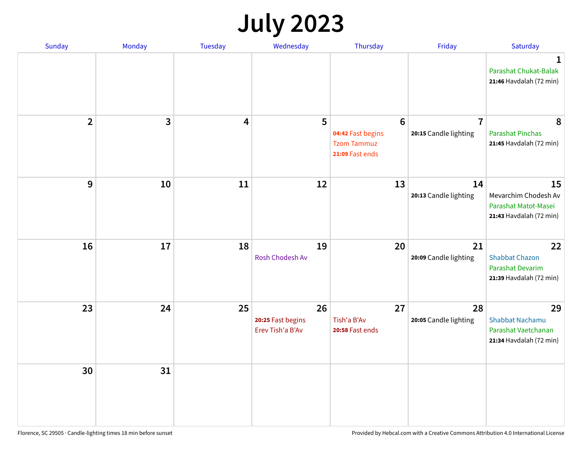# **July 2023**

| Sunday         | Monday | <b>Tuesday</b> | Wednesday                                   | Thursday                                                                      | Friday                                  | Saturday                                                                          |
|----------------|--------|----------------|---------------------------------------------|-------------------------------------------------------------------------------|-----------------------------------------|-----------------------------------------------------------------------------------|
|                |        |                |                                             |                                                                               |                                         | 1<br>Parashat Chukat-Balak<br>21:46 Havdalah (72 min)                             |
| $\overline{2}$ | 3      | 4              | 5                                           | $6\phantom{1}6$<br>04:42 Fast begins<br><b>Tzom Tammuz</b><br>21:09 Fast ends | $\overline{7}$<br>20:15 Candle lighting | 8<br><b>Parashat Pinchas</b><br>21:45 Havdalah (72 min)                           |
| 9              | 10     | 11             | 12                                          | 13                                                                            | 14<br>20:13 Candle lighting             | 15<br>Mevarchim Chodesh Av<br>Parashat Matot-Masei<br>21:43 Havdalah (72 min)     |
| 16             | 17     | 18             | 19<br><b>Rosh Chodesh Av</b>                | 20                                                                            | 21<br>20:09 Candle lighting             | 22<br><b>Shabbat Chazon</b><br><b>Parashat Devarim</b><br>21:39 Havdalah (72 min) |
| 23             | 24     | 25             | 26<br>20:25 Fast begins<br>Erev Tish'a B'Av | 27<br>Tish'a B'Av<br>20:58 Fast ends                                          | 28<br>20:05 Candle lighting             | 29<br><b>Shabbat Nachamu</b><br>Parashat Vaetchanan<br>21:34 Havdalah (72 min)    |
| 30             | 31     |                |                                             |                                                                               |                                         |                                                                                   |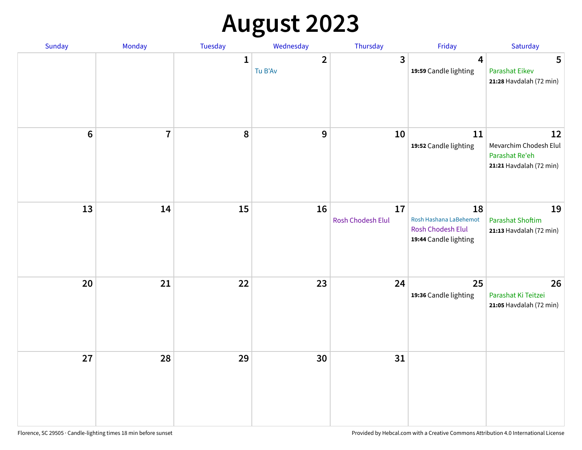# **August 2023**

| Sunday | Monday         | Tuesday      | Wednesday                 | Thursday                | Friday                                                                     | Saturday                                                                  |
|--------|----------------|--------------|---------------------------|-------------------------|----------------------------------------------------------------------------|---------------------------------------------------------------------------|
|        |                | $\mathbf{1}$ | $\overline{2}$<br>Tu B'Av | $\mathbf{3}$            | $\overline{\mathbf{4}}$<br>19:59 Candle lighting                           | 5<br><b>Parashat Eikev</b><br>21:28 Havdalah (72 min)                     |
| $6\,$  | $\overline{7}$ | 8            | 9                         | 10                      | 11<br>19:52 Candle lighting                                                | 12<br>Mevarchim Chodesh Elul<br>Parashat Re'eh<br>21:21 Havdalah (72 min) |
| 13     | 14             | 15           | 16                        | 17<br>Rosh Chodesh Elul | 18<br>Rosh Hashana LaBehemot<br>Rosh Chodesh Elul<br>19:44 Candle lighting | 19<br><b>Parashat Shoftim</b><br>21:13 Havdalah (72 min)                  |
| 20     | 21             | 22           | 23                        | 24                      | 25<br>19:36 Candle lighting                                                | 26<br>Parashat Ki Teitzei<br>21:05 Havdalah (72 min)                      |
| 27     | 28             | 29           | 30                        | 31                      |                                                                            |                                                                           |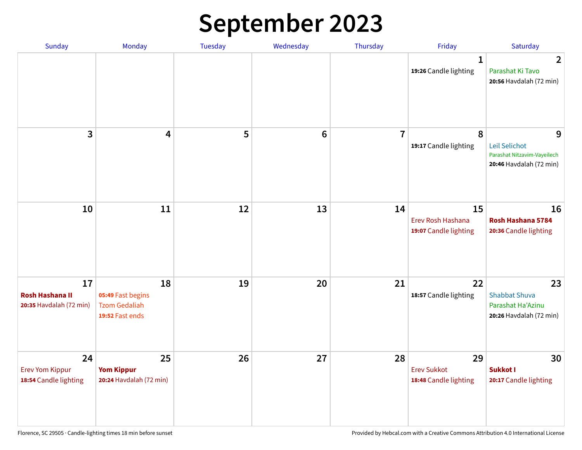# **September 2023**

| Sunday                                                  | Monday                                                             | <b>Tuesday</b> | Wednesday       | Thursday       | Friday                                            | Saturday                                                                     |
|---------------------------------------------------------|--------------------------------------------------------------------|----------------|-----------------|----------------|---------------------------------------------------|------------------------------------------------------------------------------|
|                                                         |                                                                    |                |                 |                | 1<br>19:26 Candle lighting                        | $\overline{2}$<br>Parashat Ki Tavo<br>20:56 Havdalah (72 min)                |
| 3                                                       | $\overline{\mathbf{4}}$                                            | 5              | $6\phantom{1}6$ | $\overline{7}$ | 8<br>19:17 Candle lighting                        | 9<br>Leil Selichot<br>Parashat Nitzavim-Vayeilech<br>20:46 Havdalah (72 min) |
| 10                                                      | 11                                                                 | 12             | 13              | 14             | 15<br>Erev Rosh Hashana<br>19:07 Candle lighting  | 16<br>Rosh Hashana 5784<br>20:36 Candle lighting                             |
| 17<br><b>Rosh Hashana II</b><br>20:35 Havdalah (72 min) | 18<br>05:49 Fast begins<br><b>Tzom Gedaliah</b><br>19:52 Fast ends | 19             | 20              | 21             | 22<br>18:57 Candle lighting                       | 23<br><b>Shabbat Shuva</b><br>Parashat Ha'Azinu<br>20:26 Havdalah (72 min)   |
| 24<br><b>Erev Yom Kippur</b><br>18:54 Candle lighting   | 25<br><b>Yom Kippur</b><br>20:24 Havdalah (72 min)                 | 26             | 27              | 28             | 29<br><b>Erev Sukkot</b><br>18:48 Candle lighting | 30<br><b>Sukkot I</b><br>20:17 Candle lighting                               |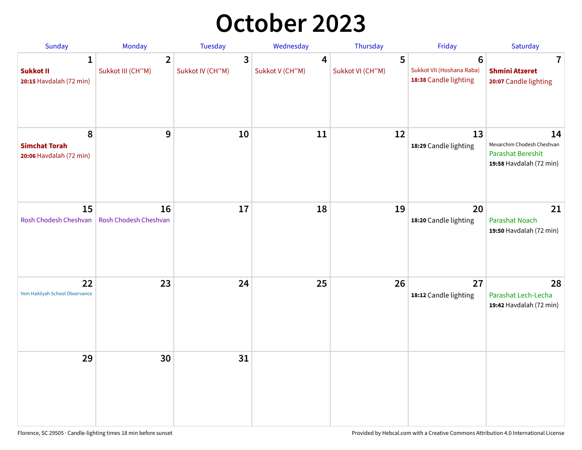## **October 2023**

| Sunday                                               | <b>Monday</b>                       | <b>Tuesday</b>        | Wednesday            | Thursday              | Friday                                                                | Saturday                                                                                |
|------------------------------------------------------|-------------------------------------|-----------------------|----------------------|-----------------------|-----------------------------------------------------------------------|-----------------------------------------------------------------------------------------|
| 1<br><b>Sukkot II</b><br>20:15 Havdalah (72 min)     | $\overline{2}$<br>Sukkot III (CH"M) | 3<br>Sukkot IV (CH"M) | 4<br>Sukkot V (CH"M) | 5<br>Sukkot VI (CH"M) | $6\phantom{1}6$<br>Sukkot VII (Hoshana Raba)<br>18:38 Candle lighting | 7<br><b>Shmini Atzeret</b><br>20:07 Candle lighting                                     |
| 8<br><b>Simchat Torah</b><br>20:06 Havdalah (72 min) | 9                                   | 10                    | 11                   | 12                    | 13<br>18:29 Candle lighting                                           | 14<br>Mevarchim Chodesh Cheshvan<br><b>Parashat Bereshit</b><br>19:58 Havdalah (72 min) |
| 15<br>Rosh Chodesh Cheshvan                          | 16<br>Rosh Chodesh Cheshvan         | 17                    | 18                   | 19                    | 20<br>18:20 Candle lighting                                           | 21<br><b>Parashat Noach</b><br>19:50 Havdalah (72 min)                                  |
| 22<br>Yom HaAliyah School Observance                 | 23                                  | 24                    | 25                   | 26                    | 27<br>18:12 Candle lighting                                           | 28<br>Parashat Lech-Lecha<br>19:42 Havdalah (72 min)                                    |
| 29                                                   | 30                                  | 31                    |                      |                       |                                                                       |                                                                                         |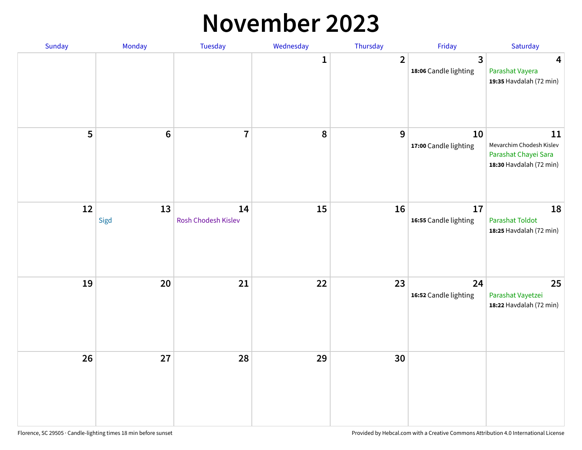#### **November 2023**

| Sunday | Monday          | Tuesday                   | Wednesday | Thursday       | Friday                      | Saturday                                                                          |
|--------|-----------------|---------------------------|-----------|----------------|-----------------------------|-----------------------------------------------------------------------------------|
|        |                 |                           | 1         | $\overline{2}$ | 3<br>18:06 Candle lighting  | $\overline{\mathbf{4}}$<br>Parashat Vayera<br>19:35 Havdalah (72 min)             |
| 5      | $6\phantom{1}6$ | $\overline{7}$            | 8         | 9              | 10<br>17:00 Candle lighting | 11<br>Mevarchim Chodesh Kislev<br>Parashat Chayei Sara<br>18:30 Havdalah (72 min) |
| $12\,$ | 13<br>Sigd      | 14<br>Rosh Chodesh Kislev | 15        | 16             | 17<br>16:55 Candle lighting | 18<br>Parashat Toldot<br>18:25 Havdalah (72 min)                                  |
| 19     | 20              | 21                        | 22        | 23             | 24<br>16:52 Candle lighting | 25<br>Parashat Vayetzei<br>18:22 Havdalah (72 min)                                |
| 26     | 27              | 28                        | 29        | 30             |                             |                                                                                   |